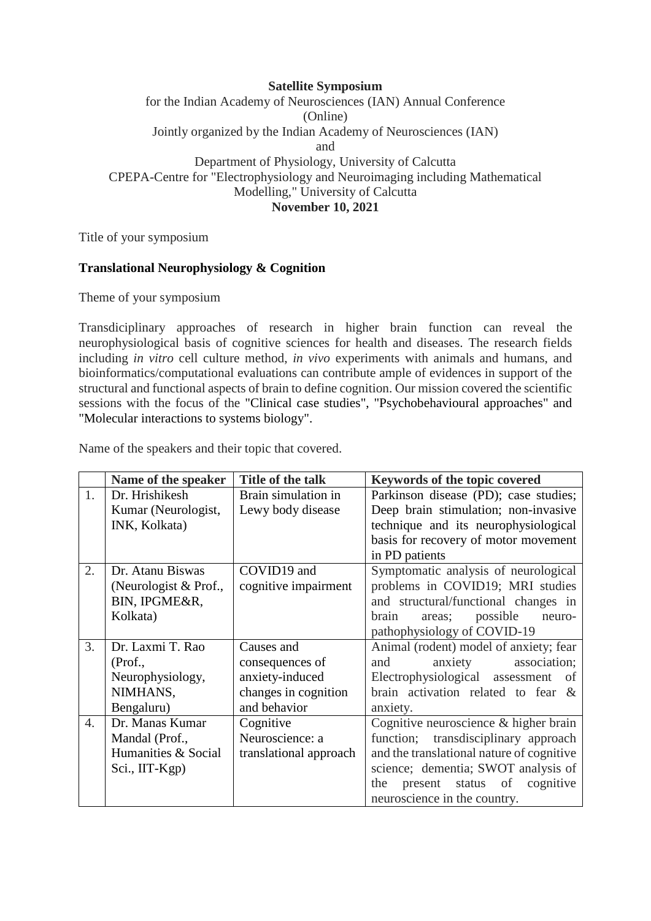## **Satellite Symposium** for the Indian Academy of Neurosciences (IAN) Annual Conference (Online) Jointly organized by the Indian Academy of Neurosciences (IAN) and Department of Physiology, University of Calcutta CPEPA-Centre for "Electrophysiology and Neuroimaging including Mathematical Modelling," University of Calcutta **November 10, 2021**

Title of your symposium

## **Translational Neurophysiology & Cognition**

Theme of your symposium

Transdiciplinary approaches of research in higher brain function can reveal the neurophysiological basis of cognitive sciences for health and diseases. The research fields including *in vitro* cell culture method, *in vivo* experiments with animals and humans, and bioinformatics/computational evaluations can contribute ample of evidences in support of the structural and functional aspects of brain to define cognition. Our mission covered the scientific sessions with the focus of the "Clinical case studies", "Psychobehavioural approaches" and "Molecular interactions to systems biology".

|                  | Name of the speaker   | Title of the talk      | <b>Keywords of the topic covered</b>      |
|------------------|-----------------------|------------------------|-------------------------------------------|
| 1.               | Dr. Hrishikesh        | Brain simulation in    | Parkinson disease (PD); case studies;     |
|                  | Kumar (Neurologist,   | Lewy body disease      | Deep brain stimulation; non-invasive      |
|                  | INK, Kolkata)         |                        | technique and its neurophysiological      |
|                  |                       |                        | basis for recovery of motor movement      |
|                  |                       |                        | in PD patients                            |
| 2.               | Dr. Atanu Biswas      | COVID19 and            | Symptomatic analysis of neurological      |
|                  | (Neurologist & Prof., | cognitive impairment   | problems in COVID19; MRI studies          |
|                  | BIN, IPGME&R,         |                        | and structural/functional changes in      |
|                  | Kolkata)              |                        | possible<br>brain<br>areas;<br>neuro-     |
|                  |                       |                        | pathophysiology of COVID-19               |
| 3.               | Dr. Laxmi T. Rao      | Causes and             | Animal (rodent) model of anxiety; fear    |
|                  | (Prof.,               | consequences of        | anxiety<br>association;<br>and            |
|                  | Neurophysiology,      | anxiety-induced        | Electrophysiological assessment of        |
|                  | NIMHANS,              | changes in cognition   | brain activation related to fear &        |
|                  | Bengaluru)            | and behavior           | anxiety.                                  |
| $\overline{4}$ . | Dr. Manas Kumar       | Cognitive              | Cognitive neuroscience & higher brain     |
|                  | Mandal (Prof.,        | Neuroscience: a        | transdisciplinary approach<br>function;   |
|                  | Humanities & Social   | translational approach | and the translational nature of cognitive |
|                  | Sci., IIT-Kgp)        |                        | science; dementia; SWOT analysis of       |
|                  |                       |                        | present status of<br>cognitive<br>the     |
|                  |                       |                        | neuroscience in the country.              |

Name of the speakers and their topic that covered.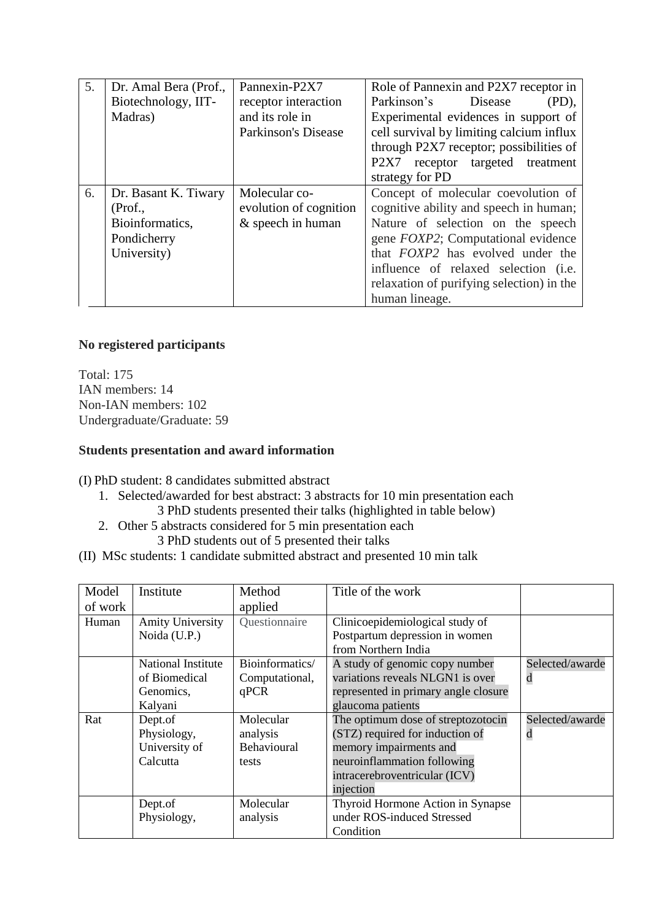| 5. | Dr. Amal Bera (Prof., | Pannexin-P2X7              | Role of Pannexin and P2X7 receptor in      |  |
|----|-----------------------|----------------------------|--------------------------------------------|--|
|    | Biotechnology, IIT-   | receptor interaction       | Parkinson's<br>Disease<br>$(PD)$ ,         |  |
|    | Madras)               | and its role in            | Experimental evidences in support of       |  |
|    |                       | <b>Parkinson's Disease</b> | cell survival by limiting calcium influx   |  |
|    |                       |                            | through P2X7 receptor; possibilities of    |  |
|    |                       |                            | P2X7<br>receptor targeted treatment        |  |
|    |                       |                            | strategy for PD                            |  |
| 6. | Dr. Basant K. Tiwary  | Molecular co-              | Concept of molecular coevolution of        |  |
|    | (Prof.,               | evolution of cognition     | cognitive ability and speech in human;     |  |
|    | Bioinformatics,       | & speech in human          | Nature of selection on the speech          |  |
|    | Pondicherry           |                            | gene <i>FOXP2</i> ; Computational evidence |  |
|    | University)           |                            | that <i>FOXP2</i> has evolved under the    |  |
|    |                       |                            | influence of relaxed selection (i.e.       |  |
|    |                       |                            | relaxation of purifying selection) in the  |  |
|    |                       |                            | human lineage.                             |  |

# **No registered participants**

Total: 175 IAN members: 14 Non-IAN members: 102 Undergraduate/Graduate: 59

### **Students presentation and award information**

(I) PhD student: 8 candidates submitted abstract

- 1. Selected/awarded for best abstract: 3 abstracts for 10 min presentation each
	- 3 PhD students presented their talks (highlighted in table below)
- 2. Other 5 abstracts considered for 5 min presentation each 3 PhD students out of 5 presented their talks
- (II) MSc students: 1 candidate submitted abstract and presented 10 min talk

| Model   | Institute               | Method          | Title of the work                    |                 |
|---------|-------------------------|-----------------|--------------------------------------|-----------------|
| of work |                         | applied         |                                      |                 |
| Human   | <b>Amity University</b> | Questionnaire   | Clinicoepidemiological study of      |                 |
|         | Noida (U.P.)            |                 | Postpartum depression in women       |                 |
|         |                         |                 | from Northern India                  |                 |
|         | National Institute      | Bioinformatics/ | A study of genomic copy number       | Selected/awarde |
|         | of Biomedical           | Computational,  | variations reveals NLGN1 is over     | d               |
|         | Genomics,               | qPCR            | represented in primary angle closure |                 |
|         | Kalyani                 |                 | glaucoma patients                    |                 |
| Rat     | Dept.of                 | Molecular       | The optimum dose of streptozotocin   | Selected/awarde |
|         | Physiology,             | analysis        | (STZ) required for induction of      | d               |
|         | University of           | Behavioural     | memory impairments and               |                 |
|         | Calcutta                | tests           | neuroinflammation following          |                 |
|         |                         |                 | intracerebroventricular (ICV)        |                 |
|         |                         |                 | injection                            |                 |
|         | Dept.of                 | Molecular       | Thyroid Hormone Action in Synapse    |                 |
|         | Physiology,             | analysis        | under ROS-induced Stressed           |                 |
|         |                         |                 | Condition                            |                 |